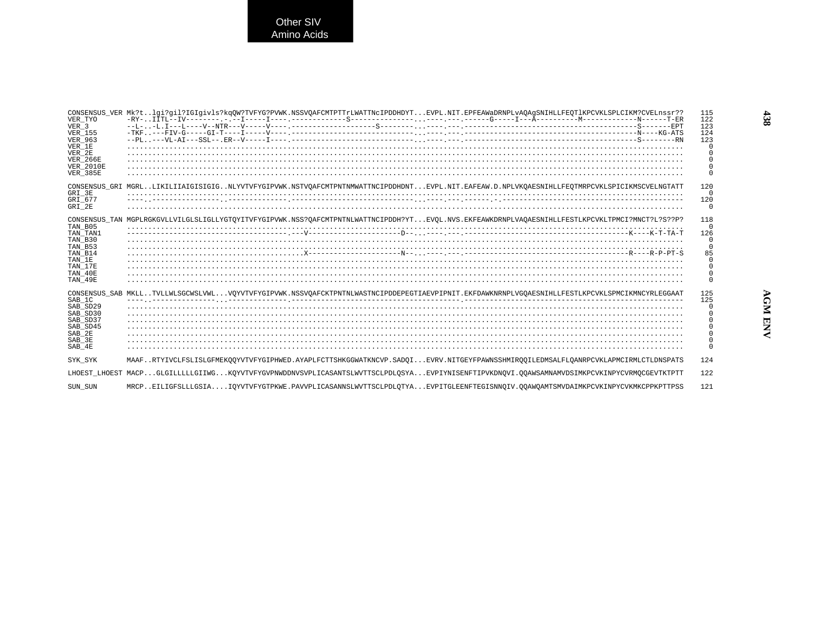Other SIV<br>Amino Acids

| VER TYO<br>VER <sub>3</sub><br><b>VER 155</b><br><b>VER 963</b><br>VER 1E<br>VER 2E<br><b>VER 266E</b><br><b>VER 2010E</b><br><b>VER 385E</b> | CONSENSUS VER Mk?tlqi?qil?IGIqivls?kqOW?TVFYG?PVWK.NSSVOAFCMTPTTrLWATTNcIPDDHDYTEVPL.NIT.EPFEAWaDRNPLvAOAqSNIHLLFEOT1KPCVKLSPLCIKM?CVELnssr??   | 115<br>122<br>123<br>124<br>123<br>$\Omega$<br>$\Omega$ |
|-----------------------------------------------------------------------------------------------------------------------------------------------|-------------------------------------------------------------------------------------------------------------------------------------------------|---------------------------------------------------------|
| GRI 3E<br>GRI 677<br>GRI 2E                                                                                                                   | CONSENSUS GRI MGRLLIKILIIAIGISIGIGNLYVTVFYGIPVWK.NSTVOAFCMTPNTNMWATTNCIPDDHDNTEVPL.NIT.EAFEAW.D.NPLVKOAESNIHLLFEOTMRPCVKLSPICIKMSCVELNGTATT     | 120<br>$\Omega$<br>120<br>$\Omega$                      |
| TAN B05<br>TAN TAN1<br>TAN B30<br>TAN B53<br>TAN B14<br>TAN 1E<br>TAN 17E<br>TAN 40E<br>TAN 49E                                               | CONSENSUS TAN MGPLRGKGVLLVILGLSLIGLLYGTOYITVFYGIPVWK.NSS?OAFCMTPNTNLWATTNCIPDDH?YTEVOL.NVS.EKFEAWKDRNPLVAOAESNIHLLFESTLKPCVKLTPMCI?MNCT?L?S??P? | 118<br>$\cap$<br>126<br>$\Omega$<br>85<br>$\cap$        |
| SAB 1C<br>SAB SD29<br>SAB SD30<br>SAB SD37<br>SAB_SD45<br>SAB 2E<br>SAB 3E<br>SAB 4E                                                          | CONSENSUS SAB MKLLTVLLWLSGCWSLVWLVOYVTVFYGIPVWK.NSSVOAFCKTPNTNLWASTNCIPDDEPEGTIAEVPIPNIT.EKFDAWKNRNPLVGOAESNIHLLFESTLKPCVKLSPMCIKMNCYRLEGGAAT   | 125<br>125<br>0                                         |
| SYK SYK                                                                                                                                       | MAAFRTYIVCLFSLISLGFMEKOOYVTVFYGIPHWED.AYAPLFCTTSHKGGWATKNCVP.SADOIEVRV.NITGEYFPAWNSSHMIROOILEDMSALFLOANRPCVKLAPMCIRMLCTLDNSPATS                 | 124                                                     |
|                                                                                                                                               | LHOEST LHOEST MACPGLGILLLLLGIIWGKOYVTVFYGVPNWDDNVSVPLICASANTSLWVTTSCLPDLOSYAEVPIYNISENFTIPVKDNOVI.OOAWSAMNAMVDSIMKPCVKINPYCVRMOCGEVTKTPTT       | 122                                                     |
| SUN SUN                                                                                                                                       | MRCPEILIGFSLLLGSIAIOYVTVFYGTPKWE.PAVVPLICASANNSLWVTTSCLPDLOTYAEVPITGLEENFTEGISNNOIV.OOAWOAMTSMVDAIMKPCVKINPYCVKMKCPPKPTTPSS                     | 121                                                     |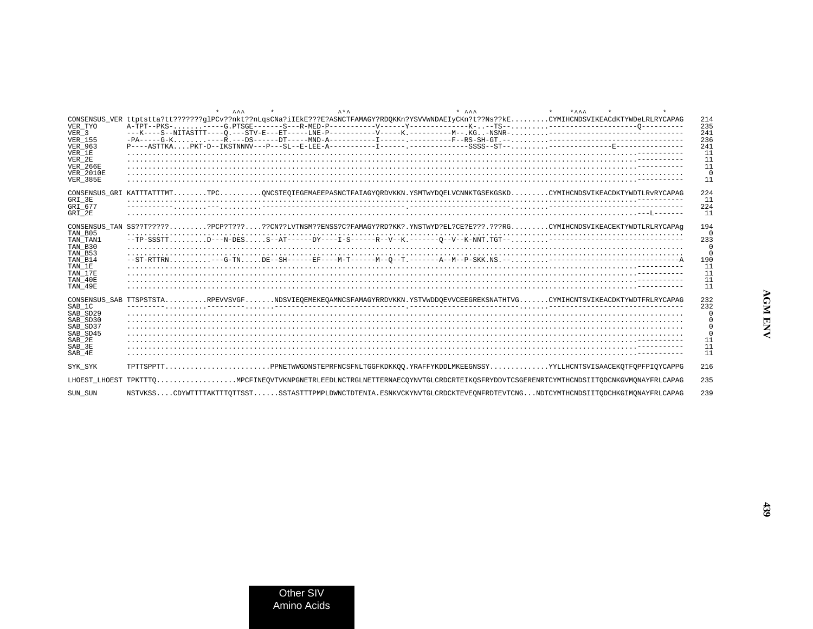|                                     |                                                                                                                                           | AA | $A + A$ | $+$ $A A A$ | $+ \lambda \lambda \lambda$ |                        |
|-------------------------------------|-------------------------------------------------------------------------------------------------------------------------------------------|----|---------|-------------|-----------------------------|------------------------|
| VER TYO                             | CONSENSUS VER ttptstta?tt???????qlPCv??nkt??nLqsCNa?iIEkE???E?ASNCTFAMAGY?RDOKKn?YSVVWNDAEIyCKn?t??Ns??kECYMIHCNDSVIKEACdKTYWDeLRLRYCAPAG |    |         |             |                             | 214<br>235             |
| VER <sub>3</sub><br><b>VER 155</b>  |                                                                                                                                           |    |         |             |                             | 2.41<br>236            |
| <b>VER 963</b><br>VER 1E            | $P---ASTYRAPRT-D--IKSTNNNV---P---SL--E-LER-A------I------I--------SSSS--ST---------Z-----E-------Z------Z---$                             |    |         |             |                             | 2.41<br>11             |
| VER 2E<br><b>VER 266E</b>           |                                                                                                                                           |    |         |             |                             | 11<br>11               |
| <b>VER 2010E</b><br><b>VER_385E</b> |                                                                                                                                           |    |         |             |                             | $\Omega$<br>11         |
|                                     | CONSENSUS GRI KATTTATTTMTTPCONCSTEQIEGEMAEEPASNCTFAIAGYORDVKKN.YSMTWYDOELVCNNKTGSEKGSKDCYMIHCNDSVIKEACDKTYWDTLRvRYCAPAG                   |    |         |             |                             | 224                    |
| GRI 3E<br>GRI 677                   |                                                                                                                                           |    |         |             |                             | 11<br>224              |
| GRI 2E                              | CONSENSUS TAN SS??T??????PCP?T?????CN??LVTNSM??ENSS?C?FAMAGY?RD?KK?.YNSTWYD?EL?CE?E???.???RGCYMIHCNDSVIKEACEKTYWDTLRLRYCAPAg              |    |         |             |                             | 11                     |
| TAN B05<br>TAN TAN1                 |                                                                                                                                           |    |         |             |                             | 194<br>$\Omega$<br>233 |
| TAN B30<br>TAN B53                  |                                                                                                                                           |    |         |             |                             | $\Omega$<br>$\Omega$   |
| TAN B14<br>TAN 1E                   |                                                                                                                                           |    |         |             |                             | 190<br>11              |
| TAN 17E<br>TAN 40E                  |                                                                                                                                           |    |         |             |                             | 11<br>11               |
| TAN 49E                             |                                                                                                                                           |    |         |             |                             | 11                     |
| SAB 1C<br>SAB_SD29<br>SAB SD30      | CONSENSUS SAB TTSPSTSTARPEVVSVGFNDSVIEOEMEKEOAMNCSFAMAGYRRDVKKN.YSTVWDDOEVVCEEGREKSNATHTVGCYMIHCNTSVIKEACDKTYWDTFRLRYCAPAG                |    |         |             |                             | 232<br>232             |
|                                     |                                                                                                                                           |    |         |             |                             | 0                      |
| SAB SD37<br>SAB_SD45                |                                                                                                                                           |    |         |             |                             | 0<br>$\Omega$          |
| SAB 2E<br>SAB 3E                    |                                                                                                                                           |    |         |             |                             | 11<br>11               |
| SAB 4E                              |                                                                                                                                           |    |         |             |                             | 11                     |
| SYK SYK                             | TPTTSPPTTPPNETWWGDNSTEPRFNCSFNLTGGFKDKKOO.YRAFFYKDDLMKEEGNSSYYYLLHCNTSVISAACEKOTFOPFPIOYCAPPG                                             |    |         |             |                             | 216                    |
|                                     | LHOEST LHOEST TPKTTTOMPCFINEQVTVKNPGNETRLEEDLNCTRGLNETTERNAECQYNVTGLCRDCRTEIKQSFRYDDVTCSGERENRTCYMTHCNDSIITQDCNKGVMQNAYFRLCAPAG           |    |         |             |                             | 235                    |
| SUN SUN                             | NSTVKSSCDYWTTTTAKTTTOTTSSTSSTASTTTPMPLDWNCTDTENIA.ESNKVCKYNVTGLCRDCKTEVEONFRDTEVTCNGNDTCYMTHCNDSIITODCHKGIMONAYFRLCAPAG                   |    |         |             |                             | 239                    |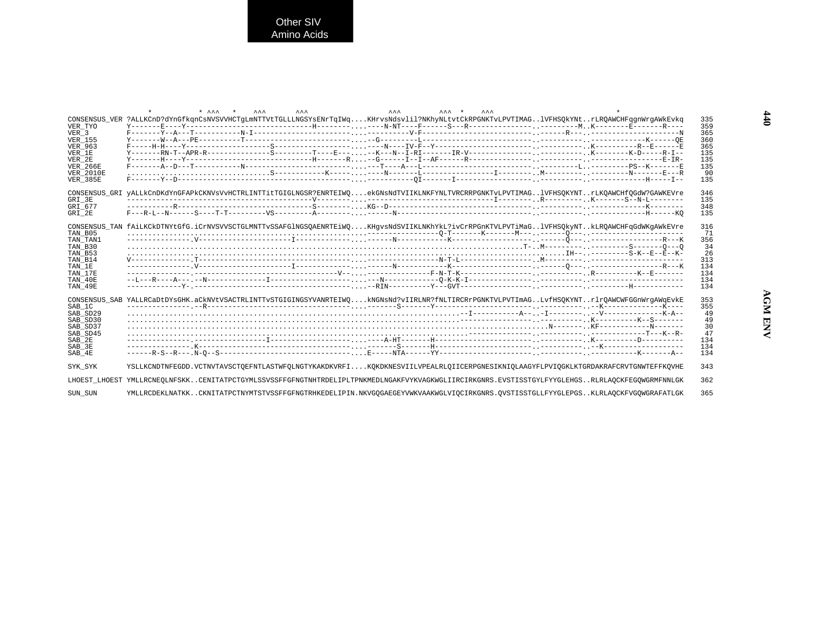| VER TYO<br>VER 3<br>VER 155<br><b>VER 963</b><br>VER 1E<br>VER 2E<br>VER 266E<br><b>VER 2010E</b><br><b>VER_385E</b> | $\mathbf{A} \mathbf{A} \mathbf{A}$<br>$\star$ $\sim$ $\star$<br>$A A A$<br>$\mathbf{A} \mathbf{A} \mathbf{A}$<br>$\lambda \lambda \lambda + \frac{1}{\lambda}$<br>$\wedge \wedge \wedge$<br>CONSENSUS_VER ?ALLKCnD?dYnGfkqnCsNVSVVHCTgLmNTTVtTGLLLNGSYsENrTqIWqKHrvsNdsvlil?NKhyNLtvtCkRPGNKTvLPVTIMAGlVFHSQkYNtrLRQAWCHFqgnWrgAWkEvkq | 335<br>359<br>365<br>360<br>365<br>135<br>135<br>135<br>90<br>135 |
|----------------------------------------------------------------------------------------------------------------------|----------------------------------------------------------------------------------------------------------------------------------------------------------------------------------------------------------------------------------------------------------------------------------------------------------------------------------------|-------------------------------------------------------------------|
| GRI 3E<br>GRI 677<br>GRI 2E                                                                                          | CONSENSUS_GRI yALLkCnDKdYnGFAPkCKNVsVvHCTRLINTTitTGIGLNGSR?ENRTEIWQekGNsNdTVIIKLNKFYNLTVRCRRPGNKTvLPVTIMAGlVFHSQKYNTrLKQAWCHfQGdW?GAWKEVre                                                                                                                                                                                             | 346<br>135<br>348<br>135                                          |
| TAN B05<br>TAN TAN1<br>TAN B30<br>TAN B53<br>TAN B14<br>TAN 1E<br>TAN 17E<br>TAN 40E<br>TAN 49E                      | CONSENSUS_TAN fAiLKCkDTNYtGfG.iCrNVSVVSCTGLMNTTvSSAFGlNGSQAENRTEiWQKHgvsNdSVIIKLNKhYkL?ivCrRPGnKTVLPVTiMaGlVFHSQkyNTkLRQAWCHFqGdWKgAWkEVre                                                                                                                                                                                             | 316<br>71<br>356<br>-34<br>-26<br>313<br>134<br>134<br>134<br>134 |
| SAB 1C<br>SAB SD29<br>SAB SD30<br>SAB SD37<br>SAB SD45<br>SAB 2E<br>SAB 3E<br>SAB 4E                                 | CONSENSUS_SAB_YALLRCaDtDYsGHK.aCkNVtVSACTRLINTTvSTGIGINGSYVANRTEIWQkNGNsNd?vIIRLNR?fNLTIRCRrPGNKTVLPVTImAGLvfHSQKYNTrlrQAWCWFGGnWrgAWqEvkE                                                                                                                                                                                             | 353<br>355<br>-49<br>49<br>30<br>47<br>134<br>134<br>134          |
| SYK SYK                                                                                                              | YSLLKCNDTNFEGDD.VCTNVTAVSCTQEFNTLASTWFQLNGTYKAKDKVRFIKQKDKNESVIILVPEALRLQIICERPGNESIKNIQLAAGYFLPVIQGKLKTGRDAKRAFCRVTGNWTEFFKQVHE                                                                                                                                                                                                       | 343                                                               |
|                                                                                                                      | LHOEST LHOEST YMLLRCNEOLNFSKKCENITATPCTGYMLSSVSSFFGFNGTNHTRDELIPLTPNKMEDLNGAKFVYKVAGKWGLIIRCIRKGNRS.EVSTISSTGYLFYYGLEHGSRLRLAOCKFEGOWGRMFNNLGK                                                                                                                                                                                         | 362                                                               |
| SUN_SUN                                                                                                              | YMLLRCDEKLNATKKCKNITATPCTNYMTSTVSSFFGFNGTRHKEDELIPIN.NKVGQGAEGEYVWKVAAKWGLVIQCIRKGNRS.QVSTISSTGLLFYYGLEPGSKLRLAQCKFVGQWGRAFATLGK                                                                                                                                                                                                       | 365                                                               |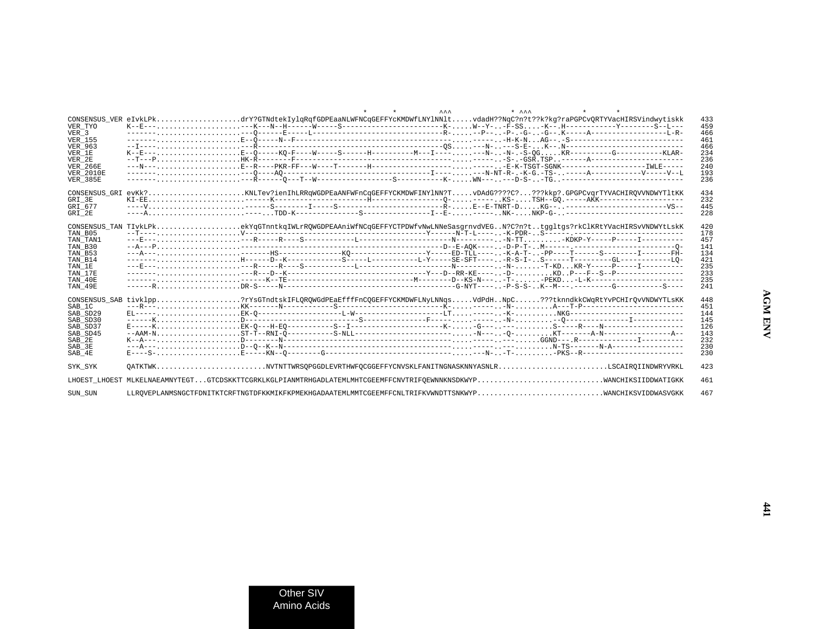|                         | $\mathbf{A} \mathbf{A} \mathbf{A}$<br>$*$ $\lambda \lambda \lambda$<br>$\star$<br>$\star$                                         |
|-------------------------|-----------------------------------------------------------------------------------------------------------------------------------|
| VER TYO                 | 433<br>459                                                                                                                        |
| VER 3<br><b>VER 155</b> | 466                                                                                                                               |
|                         | 461                                                                                                                               |
| <b>VER 963</b>          | 466                                                                                                                               |
| VER 1E                  | 234                                                                                                                               |
| VER 2E                  | 236                                                                                                                               |
| <b>VER 266E</b>         | 240                                                                                                                               |
| <b>VER 2010E</b>        | 193                                                                                                                               |
| <b>VER 385E</b>         | 236                                                                                                                               |
|                         |                                                                                                                                   |
|                         | 434                                                                                                                               |
| GRI 3E                  | 232<br>445                                                                                                                        |
| GRI 677                 |                                                                                                                                   |
| GRI 2E                  | 228                                                                                                                               |
|                         | CONSENSUS_TAN TIvkLPkekYqGTnntkqIWLrRQWGDPEAAniWfNCqGEFFYCTPDWfvNwLNNeSasgrnvdVEGN?C?n?ttggltgs?rkClKRtYVacHIRSvVNDWYtLskK<br>420 |
| TAN B05                 | 178                                                                                                                               |
| TAN TAN1                | 457                                                                                                                               |
| TAN B30                 | 141                                                                                                                               |
| TAN B53                 | 134                                                                                                                               |
| TAN B14                 | 421                                                                                                                               |
| TAN 1E                  | 235                                                                                                                               |
| TAN 17E                 | 233                                                                                                                               |
| TAN 40E                 | 235                                                                                                                               |
| TAN 49E                 | 241                                                                                                                               |
|                         |                                                                                                                                   |
|                         | CONSENSUS SAB tivklpp?rYsGTndtskIFLOROWGdPEaEfffFnCOGEFFYCKMDWFLNVLNNgsVdPdHNpC???tknndkkCWgRtYvPCHIrOvVNDWYTLsKK<br>448          |
| SAB 1C                  | 451                                                                                                                               |
| SAB SD29                | 144                                                                                                                               |
| SAB SD30                | 145                                                                                                                               |
| SAB_SD37                | 126<br>--AAM-NST-T--RNI-0----------S-NLL-----------------------N----0-KT--------A-N----------------A--<br>143                     |
| SAB SD45<br>SAB 2E      | 232                                                                                                                               |
| SAB 3E                  | 230                                                                                                                               |
| SAB 4E                  | 230                                                                                                                               |
|                         |                                                                                                                                   |
| SYK SYK                 | QATKTWKNVTNTTWRSQPGGDLEVRTHWFQCGGEFFYCNVSKLFANITNGNASKNNYASNLRLSCAIRQIINDWRYVRKL<br>423                                           |
|                         | 461                                                                                                                               |
| SUN SUN                 | 467<br>LLROVEPLANMSNGCTFDNITKTCRFTNGTDFKKMIKFKPMEKHGADAATEMLMMTCGEEMFFCNLTRIFKVWNDTTSNKWYPWANCHIKSVIDDWASVGKK                     |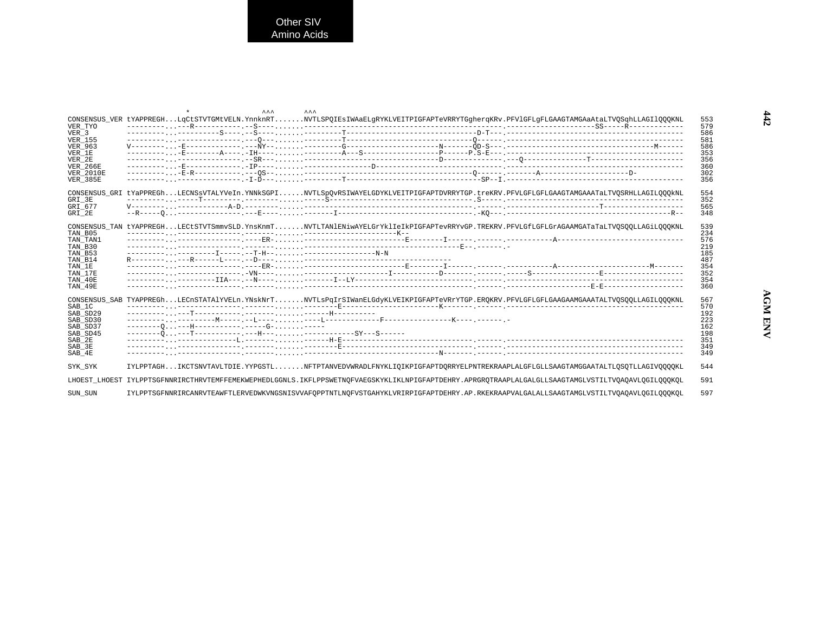Other SIV<br>Amino Acids

| VER TYO<br>VER 3                                                                     |                                      | $\mathbf{A} \mathbf{A} \mathbf{A}$ | $\mathbf{A} \mathbf{A} \mathbf{A}$<br>CONSENSUS_VER tYAPPREGHLqCtSTVTGMtVELN.YnnknRTNVTLSPQIEsIWAaELgRYKLVEITPIGFAPTeVRRYTGgherqKRv.PFVlGFLgFLGAAGTAMGAaAtaLTVQSqhLLAGIlQQQKNL |  |  | 553<br>579<br>586                                           |
|--------------------------------------------------------------------------------------|--------------------------------------|------------------------------------|--------------------------------------------------------------------------------------------------------------------------------------------------------------------------------|--|--|-------------------------------------------------------------|
| VER 155<br><b>VER 963</b><br>VER 1E<br>VER 2E<br><b>VER 266E</b>                     |                                      |                                    |                                                                                                                                                                                |  |  | 581<br>586<br>353<br>356<br>360                             |
| <b>VER 2010E</b><br><b>VER 385E</b>                                                  |                                      |                                    |                                                                                                                                                                                |  |  | 302<br>356                                                  |
| GRI 3E<br>GRI 677<br>GRI 2E                                                          |                                      |                                    | CONSENSUS GRI tYaPPREGhLECNSsVTALYVeIn.YNNkSGPINVTLSpOvRSIWAYELGDYKLVEITPIGFAPTDVRRYTGP.treKRV.PFVLGFLGFLGAAGTAMGAAATaLTVOSRHLLAGILOOOkNL                                      |  |  | 554<br>352<br>565<br>348                                    |
| TAN B05<br>TAN TAN1<br>TAN B30<br>TAN B53<br>TAN B14                                 |                                      |                                    | CONSENSUS TAN tYAPPREGHLECtSTVTSmmvSLD.YnsKnmTNVTLTAN1ENiwAYELGrYklIeIkPIGFAPTevRRYvGP.TREKRV.PFVLGfLGFLGrAGAAMGATaTaLTVOSOOLLAGiLOOOKNL                                       |  |  | 539<br>234<br>576<br>219<br>185<br>487                      |
| TAN 1E<br>TAN 17E<br>TAN 40E<br>TAN 49E                                              |                                      |                                    |                                                                                                                                                                                |  |  | 354<br>352<br>354<br>360                                    |
| SAB 1C<br>SAB SD29<br>SAB SD30<br>SAB SD37<br>SAB SD45<br>SAB 2E<br>SAB 3E<br>SAB 4E | --------0---H----------------G------ |                                    | CONSENSUS SAB TYAPPREGhLECnSTATAlYVELn.YNskNrTNVTLsPqIrSIWanELGdyKLVEIKPIGFAPTeVRrYTGP.EROKRV.PFVLGFLGFLGAAGAAMGAAATALTVOSOOLLAGILOOOKNL                                       |  |  | 567<br>570<br>192<br>223<br>162<br>198<br>351<br>349<br>349 |
| SYK SYK                                                                              |                                      |                                    | IYLPPTAGHIKCTSNVTAVLTDIE.YYPGSTLNFTPTANVEDVWRADLFNYKLIQIKPIGFAPTDQRRYELPNTREKRAAPLALGFLGLLSAAGTAMGGAATALTLOSOTLLAGIVOOQOKL                                                     |  |  | 544                                                         |
|                                                                                      |                                      |                                    | LHOEST LHOEST IYLPPTSGFNNRIRCTHRVTEMFFEMEKWEPHEDLGGNLS.IKFLPPSWETNOFVAEGSKYKLIKLNPIGFAPTDEHRY.APRGROTRAAPLALGALGLLSAAGTAMGLVSTILTVOAOAVLOGILOOOKOL                             |  |  | 591                                                         |
| SUN SUN                                                                              |                                      |                                    | IYLPPTSGFNNRIRCANRVTEANFTLERVEDWKVNGSNISVVAFOPPTNTLNOFVSTGAHYKLVRIRPIGFAPTDEHRY.AP.RKEKRAAPVALGALALLSAAGTAMGLVSTILTVOAOAVLOGILOOOKOL                                           |  |  | 597                                                         |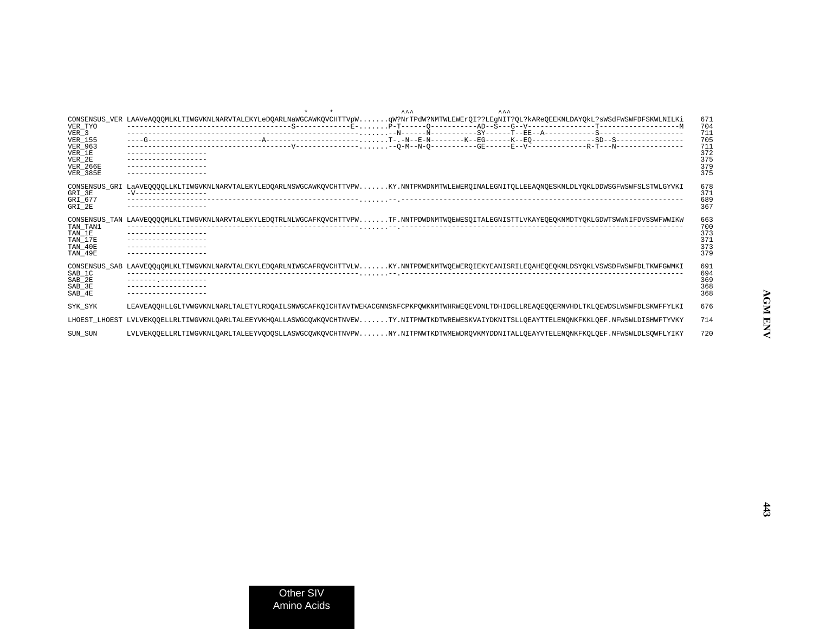|                                                                                                                           | AA<br>$\lambda$                                                                                                                                                     |                                                             |
|---------------------------------------------------------------------------------------------------------------------------|---------------------------------------------------------------------------------------------------------------------------------------------------------------------|-------------------------------------------------------------|
| VER TYO<br>VER <sub>3</sub><br><b>VER 155</b><br><b>VER 963</b><br>VER_1E<br>VER 2E<br><b>VER 266E</b><br><b>VER 385E</b> | CONSENSUS_VER LAAVeAQQQMLKLTIWGVKNLNARVTALEKYLeDQARLNaWGCAWKQVCHTTVpWqW?NrTPdW?NMTWLEWErQI??LEgNIT?QL?kAReQEEKNLDAYQkL?sWSdFWSWFDFSKWLNILKi                         | 671<br>704<br>711<br>705<br>711<br>372<br>375<br>379<br>375 |
| GRI 3E<br>GRI 677<br>GRI 2E                                                                                               | CONSENSUS GRI LaAVEOOOOLLKLTIWGVKNLNARVTALEKYLEDOARLNSWGCAWKOVCHTTVPWKY.NNTPKWDNMTWLEWEROINALEGNITOLLEEAONOESKNLDLYOKLDDWSGFWSWFSLSTWLGYVKI<br>-V------------------ | 678<br>371<br>689<br>367                                    |
| CONSENSUS TAN<br>TAN TAN1<br>TAN 1E<br>TAN 17E<br>TAN 40E<br>TAN 49E                                                      | LAAVEQQQQMLKLTIWGVKNLNARVTALEKYLEDQTRLNLWGCAFKQVCHTTVPWTF.NNTPDWDNMTWQEWESQITALEGNISTTLVKAYEQEQKNMDTYQKLGDWTSWWNIFDVSSWFWWIKW                                       | 663<br>700<br>373<br>371<br>373<br>379                      |
| SAB 1C<br>SAB 2E<br>$SAB_3E$<br>SAB 4E                                                                                    | CONSENSUS SAB LAAVEOOGOMLKLTIWGVKNLNARVTALEKYLEDOARLNIWGCAFROVCHTTVLWKY.NNTPDWENMTWOEWEROIEKYEANISRILEOAHEOEOKNLDSYOKLVSWSDFWSWFDLTKWFGWMKI<br>-------- ----------- | 691<br>694<br>369<br>368<br>368                             |
| SYK SYK                                                                                                                   | LEAVEAOOHLLGLTVWGVKNLNARLTALETYLRDOAILSNWGCAFKOICHTAVTWEKACGNNSNFCPKPOWKNMTWHRWEOEVDNLTDHIDGLLREAOEOOERNVHDLTKLOEWDSLWSWFDLSKWFFYLKI                                | 676                                                         |
|                                                                                                                           | LHOEST LHOEST LVLVEKOOELLRLTIWGVKNLOARLTALEEYVKHOALLASWGCOWKOVCHTNVEWTY.NITPNWTKDTWREWESKVAIYDKNITSLLOEAYTTELENONKFKKLOEF.NFWSWLDISHWFTYVKY                         | 714                                                         |
| SUN SUN                                                                                                                   | LVLVEKOOELLRLTIWGVKNLOARLTALEEYVODOSLLASWGCOWKOVCHTNVPWNY.NITPNWTKDTWMEWDROVKMYDDNITALLOEAYVTELENONKFKOLOEF.NFWSWLDLSOWFLYIKY                                       | 720                                                         |